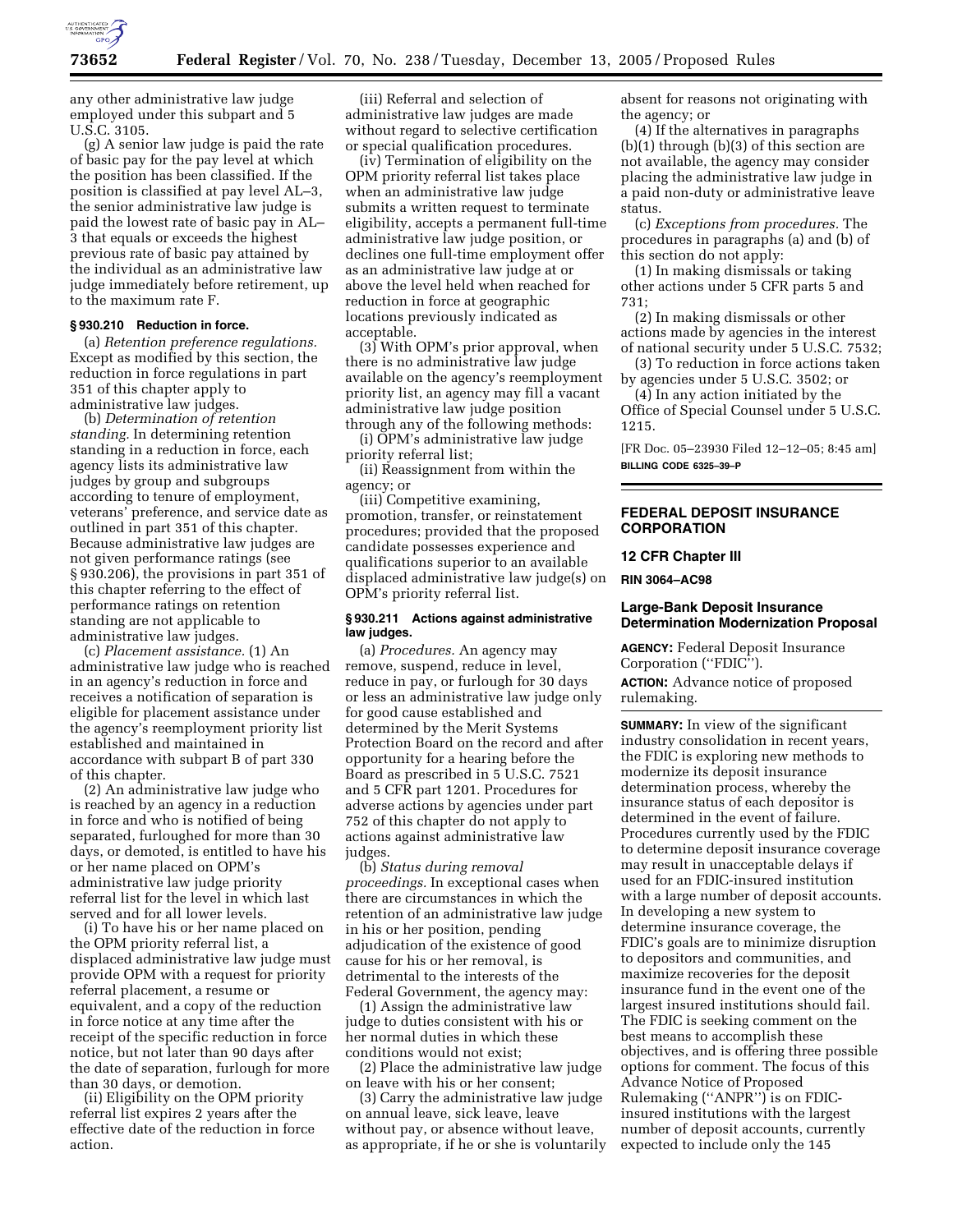

any other administrative law judge employed under this subpart and 5 U.S.C. 3105.

(g) A senior law judge is paid the rate of basic pay for the pay level at which the position has been classified. If the position is classified at pay level AL–3, the senior administrative law judge is paid the lowest rate of basic pay in AL– 3 that equals or exceeds the highest previous rate of basic pay attained by the individual as an administrative law judge immediately before retirement, up to the maximum rate F.

# **§ 930.210 Reduction in force.**

(a) *Retention preference regulations.*  Except as modified by this section, the reduction in force regulations in part 351 of this chapter apply to administrative law judges.

(b) *Determination of retention standing.* In determining retention standing in a reduction in force, each agency lists its administrative law judges by group and subgroups according to tenure of employment, veterans' preference, and service date as outlined in part 351 of this chapter. Because administrative law judges are not given performance ratings (see § 930.206), the provisions in part 351 of this chapter referring to the effect of performance ratings on retention standing are not applicable to administrative law judges.

(c) *Placement assistance.* (1) An administrative law judge who is reached in an agency's reduction in force and receives a notification of separation is eligible for placement assistance under the agency's reemployment priority list established and maintained in accordance with subpart B of part 330 of this chapter.

(2) An administrative law judge who is reached by an agency in a reduction in force and who is notified of being separated, furloughed for more than 30 days, or demoted, is entitled to have his or her name placed on OPM's administrative law judge priority referral list for the level in which last served and for all lower levels.

(i) To have his or her name placed on the OPM priority referral list, a displaced administrative law judge must provide OPM with a request for priority referral placement, a resume or equivalent, and a copy of the reduction in force notice at any time after the receipt of the specific reduction in force notice, but not later than 90 days after the date of separation, furlough for more than 30 days, or demotion.

(ii) Eligibility on the OPM priority referral list expires 2 years after the effective date of the reduction in force action.

(iii) Referral and selection of administrative law judges are made without regard to selective certification or special qualification procedures.

(iv) Termination of eligibility on the OPM priority referral list takes place when an administrative law judge submits a written request to terminate eligibility, accepts a permanent full-time administrative law judge position, or declines one full-time employment offer as an administrative law judge at or above the level held when reached for reduction in force at geographic locations previously indicated as acceptable.

(3) With OPM's prior approval, when there is no administrative law judge available on the agency's reemployment priority list, an agency may fill a vacant administrative law judge position through any of the following methods:

(i) OPM's administrative law judge priority referral list;

(ii) Reassignment from within the agency; or

(iii) Competitive examining, promotion, transfer, or reinstatement procedures; provided that the proposed candidate possesses experience and qualifications superior to an available displaced administrative law judge(s) on OPM's priority referral list.

#### **§ 930.211 Actions against administrative law judges.**

(a) *Procedures.* An agency may remove, suspend, reduce in level, reduce in pay, or furlough for 30 days or less an administrative law judge only for good cause established and determined by the Merit Systems Protection Board on the record and after opportunity for a hearing before the Board as prescribed in 5 U.S.C. 7521 and 5 CFR part 1201. Procedures for adverse actions by agencies under part 752 of this chapter do not apply to actions against administrative law judges.

(b) *Status during removal proceedings.* In exceptional cases when there are circumstances in which the retention of an administrative law judge in his or her position, pending adjudication of the existence of good cause for his or her removal, is detrimental to the interests of the Federal Government, the agency may:

(1) Assign the administrative law judge to duties consistent with his or her normal duties in which these conditions would not exist;

(2) Place the administrative law judge on leave with his or her consent;

(3) Carry the administrative law judge on annual leave, sick leave, leave without pay, or absence without leave, as appropriate, if he or she is voluntarily absent for reasons not originating with the agency; or

(4) If the alternatives in paragraphs (b)(1) through (b)(3) of this section are not available, the agency may consider placing the administrative law judge in a paid non-duty or administrative leave status.

(c) *Exceptions from procedures.* The procedures in paragraphs (a) and (b) of this section do not apply:

(1) In making dismissals or taking other actions under 5 CFR parts 5 and 731;

(2) In making dismissals or other actions made by agencies in the interest of national security under 5 U.S.C. 7532;

(3) To reduction in force actions taken by agencies under 5 U.S.C. 3502; or

(4) In any action initiated by the Office of Special Counsel under 5 U.S.C. 1215.

[FR Doc. 05–23930 Filed 12–12–05; 8:45 am] **BILLING CODE 6325–39–P** 

## **FEDERAL DEPOSIT INSURANCE CORPORATION**

#### **12 CFR Chapter III**

**RIN 3064–AC98** 

#### **Large-Bank Deposit Insurance Determination Modernization Proposal**

**AGENCY:** Federal Deposit Insurance Corporation (''FDIC'').

**ACTION:** Advance notice of proposed rulemaking.

**SUMMARY:** In view of the significant industry consolidation in recent years, the FDIC is exploring new methods to modernize its deposit insurance determination process, whereby the insurance status of each depositor is determined in the event of failure. Procedures currently used by the FDIC to determine deposit insurance coverage may result in unacceptable delays if used for an FDIC-insured institution with a large number of deposit accounts. In developing a new system to determine insurance coverage, the FDIC's goals are to minimize disruption to depositors and communities, and maximize recoveries for the deposit insurance fund in the event one of the largest insured institutions should fail. The FDIC is seeking comment on the best means to accomplish these objectives, and is offering three possible options for comment. The focus of this Advance Notice of Proposed Rulemaking (''ANPR'') is on FDICinsured institutions with the largest number of deposit accounts, currently expected to include only the 145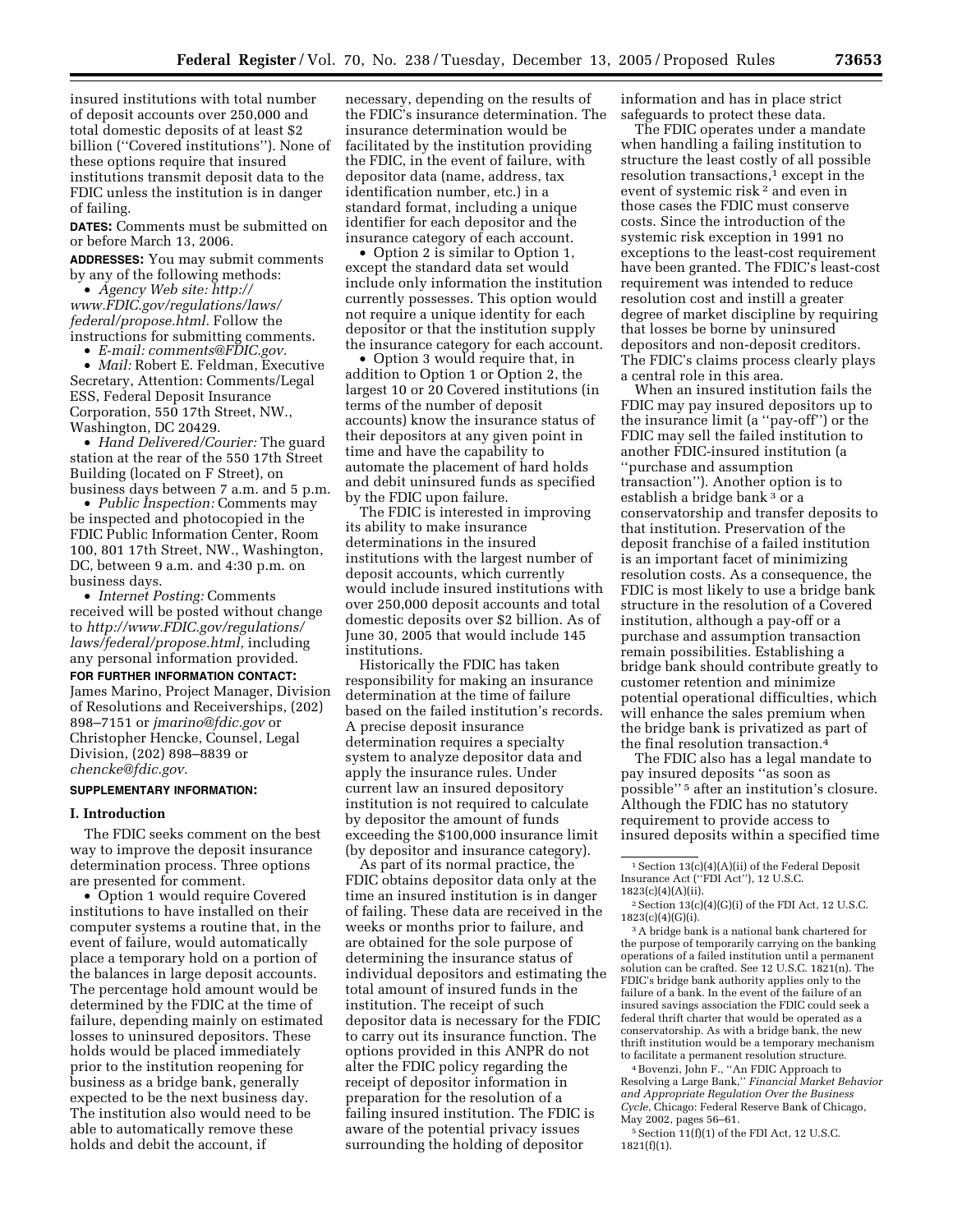insured institutions with total number of deposit accounts over 250,000 and total domestic deposits of at least \$2 billion (''Covered institutions''). None of these options require that insured institutions transmit deposit data to the FDIC unless the institution is in danger of failing.

**DATES:** Comments must be submitted on or before March 13, 2006.

**ADDRESSES:** You may submit comments by any of the following methods:

• *Agency Web site: http:// www.FDIC.gov/regulations/laws/ federal/propose.html.* Follow the instructions for submitting comments.

• *E-mail: comments@FDIC.gov.* 

• *Mail:* Robert E. Feldman, Executive Secretary, Attention: Comments/Legal ESS, Federal Deposit Insurance Corporation, 550 17th Street, NW., Washington, DC 20429.

• *Hand Delivered/Courier:* The guard station at the rear of the 550 17th Street Building (located on F Street), on business days between 7 a.m. and 5 p.m.

• *Public Inspection:* Comments may be inspected and photocopied in the FDIC Public Information Center, Room 100, 801 17th Street, NW., Washington, DC, between 9 a.m. and 4:30 p.m. on business days.

• *Internet Posting:* Comments received will be posted without change to *http://www.FDIC.gov/regulations/ laws/federal/propose.html,* including any personal information provided.

#### **FOR FURTHER INFORMATION CONTACT:**

James Marino, Project Manager, Division of Resolutions and Receiverships, (202) 898–7151 or *jmarino@fdic.gov* or Christopher Hencke, Counsel, Legal Division, (202) 898–8839 or *chencke@fdic.gov.* 

# **SUPPLEMENTARY INFORMATION:**

#### **I. Introduction**

The FDIC seeks comment on the best way to improve the deposit insurance determination process. Three options are presented for comment.

• Option 1 would require Covered institutions to have installed on their computer systems a routine that, in the event of failure, would automatically place a temporary hold on a portion of the balances in large deposit accounts. The percentage hold amount would be determined by the FDIC at the time of failure, depending mainly on estimated losses to uninsured depositors. These holds would be placed immediately prior to the institution reopening for business as a bridge bank, generally expected to be the next business day. The institution also would need to be able to automatically remove these holds and debit the account, if

necessary, depending on the results of the FDIC's insurance determination. The insurance determination would be facilitated by the institution providing the FDIC, in the event of failure, with depositor data (name, address, tax identification number, etc.) in a standard format, including a unique identifier for each depositor and the insurance category of each account.

• Option 2 is similar to Option 1, except the standard data set would include only information the institution currently possesses. This option would not require a unique identity for each depositor or that the institution supply the insurance category for each account.

• Option 3 would require that, in addition to Option 1 or Option 2, the largest 10 or 20 Covered institutions (in terms of the number of deposit accounts) know the insurance status of their depositors at any given point in time and have the capability to automate the placement of hard holds and debit uninsured funds as specified by the FDIC upon failure.

The FDIC is interested in improving its ability to make insurance determinations in the insured institutions with the largest number of deposit accounts, which currently would include insured institutions with over 250,000 deposit accounts and total domestic deposits over \$2 billion. As of June 30, 2005 that would include 145 institutions.

Historically the FDIC has taken responsibility for making an insurance determination at the time of failure based on the failed institution's records. A precise deposit insurance determination requires a specialty system to analyze depositor data and apply the insurance rules. Under current law an insured depository institution is not required to calculate by depositor the amount of funds exceeding the \$100,000 insurance limit (by depositor and insurance category).

As part of its normal practice, the FDIC obtains depositor data only at the time an insured institution is in danger of failing. These data are received in the weeks or months prior to failure, and are obtained for the sole purpose of determining the insurance status of individual depositors and estimating the total amount of insured funds in the institution. The receipt of such depositor data is necessary for the FDIC to carry out its insurance function. The options provided in this ANPR do not alter the FDIC policy regarding the receipt of depositor information in preparation for the resolution of a failing insured institution. The FDIC is aware of the potential privacy issues surrounding the holding of depositor

information and has in place strict safeguards to protect these data.

The FDIC operates under a mandate when handling a failing institution to structure the least costly of all possible resolution transactions,<sup>1</sup> except in the event of systemic risk 2 and even in those cases the FDIC must conserve costs. Since the introduction of the systemic risk exception in 1991 no exceptions to the least-cost requirement have been granted. The FDIC's least-cost requirement was intended to reduce resolution cost and instill a greater degree of market discipline by requiring that losses be borne by uninsured depositors and non-deposit creditors. The FDIC's claims process clearly plays a central role in this area.

When an insured institution fails the FDIC may pay insured depositors up to the insurance limit (a ''pay-off'') or the FDIC may sell the failed institution to another FDIC-insured institution (a ''purchase and assumption transaction''). Another option is to establish a bridge bank 3 or a conservatorship and transfer deposits to that institution. Preservation of the deposit franchise of a failed institution is an important facet of minimizing resolution costs. As a consequence, the FDIC is most likely to use a bridge bank structure in the resolution of a Covered institution, although a pay-off or a purchase and assumption transaction remain possibilities. Establishing a bridge bank should contribute greatly to customer retention and minimize potential operational difficulties, which will enhance the sales premium when the bridge bank is privatized as part of the final resolution transaction.4

The FDIC also has a legal mandate to pay insured deposits ''as soon as possible'' 5 after an institution's closure. Although the FDIC has no statutory requirement to provide access to insured deposits within a specified time

3A bridge bank is a national bank chartered for the purpose of temporarily carrying on the banking operations of a failed institution until a permanent solution can be crafted. See 12 U.S.C. 1821(n). The FDIC's bridge bank authority applies only to the failure of a bank. In the event of the failure of an insured savings association the FDIC could seek a federal thrift charter that would be operated as a conservatorship. As with a bridge bank, the new thrift institution would be a temporary mechanism to facilitate a permanent resolution structure.

4Bovenzi, John F., ''An FDIC Approach to Resolving a Large Bank,'' *Financial Market Behavior and Appropriate Regulation Over the Business Cycle*, Chicago: Federal Reserve Bank of Chicago, May 2002, pages 56–61.

 $5$  Section 11(f)(1) of the FDI Act, 12 U.S.C. 1821(f)(1).

<sup>1</sup>Section 13(c)(4)(A)(ii) of the Federal Deposit Insurance Act (''FDI Act''), 12 U.S.C. 1823(c)(4)(A)(ii).

 $^2$  Section 13(c)(4)(G)(i) of the FDI Act, 12 U.S.C. 1823(c)(4)(G)(i).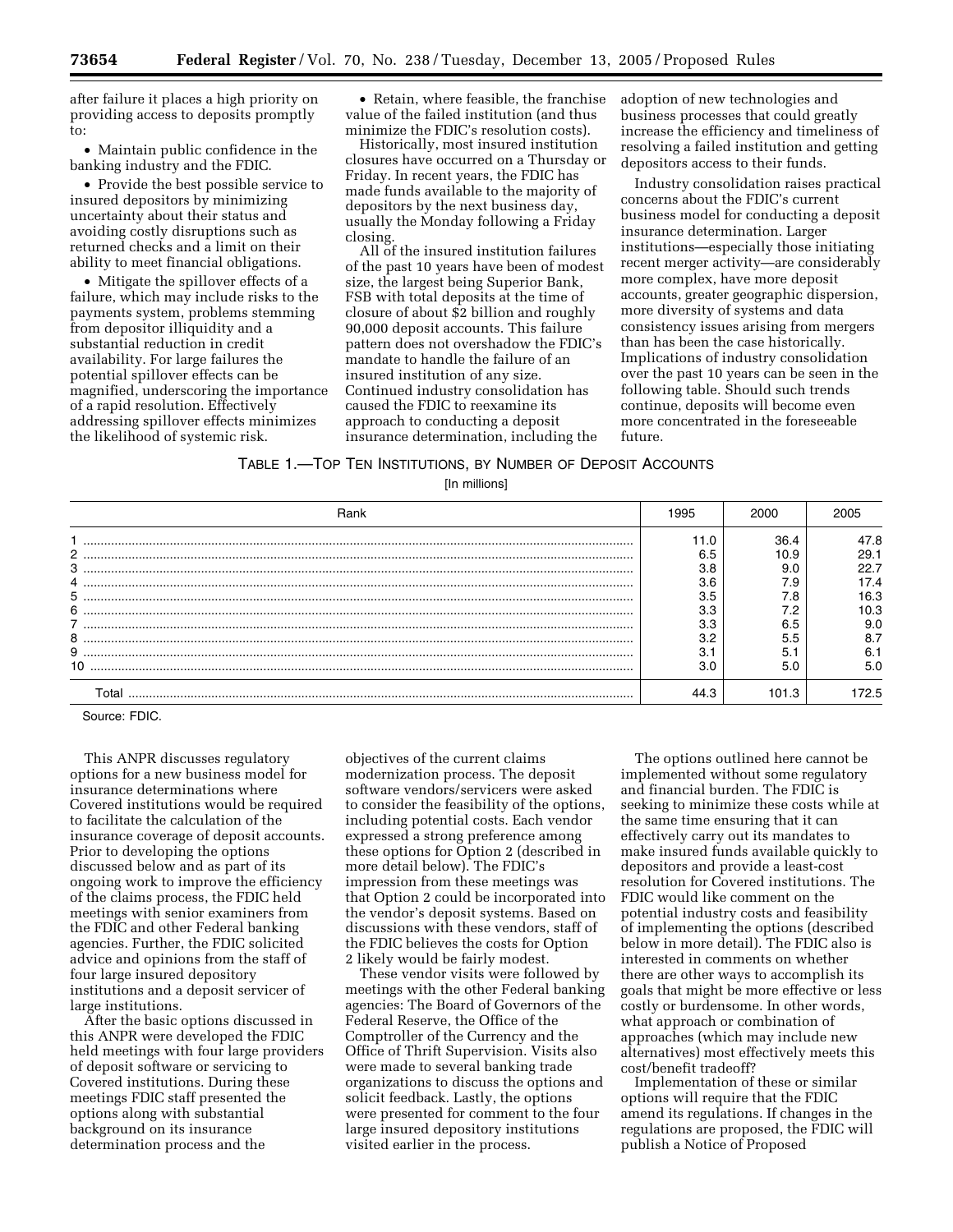after failure it places a high priority on providing access to deposits promptly to:

• Maintain public confidence in the banking industry and the FDIC.

• Provide the best possible service to insured depositors by minimizing uncertainty about their status and avoiding costly disruptions such as returned checks and a limit on their ability to meet financial obligations.

• Mitigate the spillover effects of a failure, which may include risks to the payments system, problems stemming from depositor illiquidity and a substantial reduction in credit availability. For large failures the potential spillover effects can be magnified, underscoring the importance of a rapid resolution. Effectively addressing spillover effects minimizes the likelihood of systemic risk.

• Retain, where feasible, the franchise value of the failed institution (and thus minimize the FDIC's resolution costs).

Historically, most insured institution closures have occurred on a Thursday or Friday. In recent years, the FDIC has made funds available to the majority of depositors by the next business day, usually the Monday following a Friday closing.

All of the insured institution failures of the past 10 years have been of modest size, the largest being Superior Bank, FSB with total deposits at the time of closure of about \$2 billion and roughly 90,000 deposit accounts. This failure pattern does not overshadow the FDIC's mandate to handle the failure of an insured institution of any size. Continued industry consolidation has caused the FDIC to reexamine its approach to conducting a deposit insurance determination, including the

adoption of new technologies and business processes that could greatly increase the efficiency and timeliness of resolving a failed institution and getting depositors access to their funds.

Industry consolidation raises practical concerns about the FDIC's current business model for conducting a deposit insurance determination. Larger institutions—especially those initiating recent merger activity—are considerably more complex, have more deposit accounts, greater geographic dispersion, more diversity of systems and data consistency issues arising from mergers than has been the case historically. Implications of industry consolidation over the past 10 years can be seen in the following table. Should such trends continue, deposits will become even more concentrated in the foreseeable future.

# TABLE 1.—TOP TEN INSTITUTIONS, BY NUMBER OF DEPOSIT ACCOUNTS

[In millions]

| Rank  | 1995 | 2000  |      |
|-------|------|-------|------|
|       | 11.0 | 36.4  | 47.8 |
| 2     | 6.5  | 10.9  | 29.1 |
| 3     | 3.8  | 9.0   | 22.7 |
|       | 3.6  | ۰.9   | 17.4 |
| 5     | 3.5  | .8    | 16.3 |
| 6     | 3.3  |       | 10.3 |
|       | 3.3  | 6.5   | 9.C  |
| 8     | n n  |       | 8.7  |
| 9     |      |       | 6.   |
|       | 3.0  | 5.0   | 5.0  |
| Total |      | 101.3 | 72.5 |

Source: FDIC.

This ANPR discusses regulatory options for a new business model for insurance determinations where Covered institutions would be required to facilitate the calculation of the insurance coverage of deposit accounts. Prior to developing the options discussed below and as part of its ongoing work to improve the efficiency of the claims process, the FDIC held meetings with senior examiners from the FDIC and other Federal banking agencies. Further, the FDIC solicited advice and opinions from the staff of four large insured depository institutions and a deposit servicer of large institutions.

After the basic options discussed in this ANPR were developed the FDIC held meetings with four large providers of deposit software or servicing to Covered institutions. During these meetings FDIC staff presented the options along with substantial background on its insurance determination process and the

objectives of the current claims modernization process. The deposit software vendors/servicers were asked to consider the feasibility of the options, including potential costs. Each vendor expressed a strong preference among these options for Option 2 (described in more detail below). The FDIC's impression from these meetings was that Option 2 could be incorporated into the vendor's deposit systems. Based on discussions with these vendors, staff of the FDIC believes the costs for Option 2 likely would be fairly modest.

These vendor visits were followed by meetings with the other Federal banking agencies: The Board of Governors of the Federal Reserve, the Office of the Comptroller of the Currency and the Office of Thrift Supervision. Visits also were made to several banking trade organizations to discuss the options and solicit feedback. Lastly, the options were presented for comment to the four large insured depository institutions visited earlier in the process.

The options outlined here cannot be implemented without some regulatory and financial burden. The FDIC is seeking to minimize these costs while at the same time ensuring that it can effectively carry out its mandates to make insured funds available quickly to depositors and provide a least-cost resolution for Covered institutions. The FDIC would like comment on the potential industry costs and feasibility of implementing the options (described below in more detail). The FDIC also is interested in comments on whether there are other ways to accomplish its goals that might be more effective or less costly or burdensome. In other words, what approach or combination of approaches (which may include new alternatives) most effectively meets this cost/benefit tradeoff?

Implementation of these or similar options will require that the FDIC amend its regulations. If changes in the regulations are proposed, the FDIC will publish a Notice of Proposed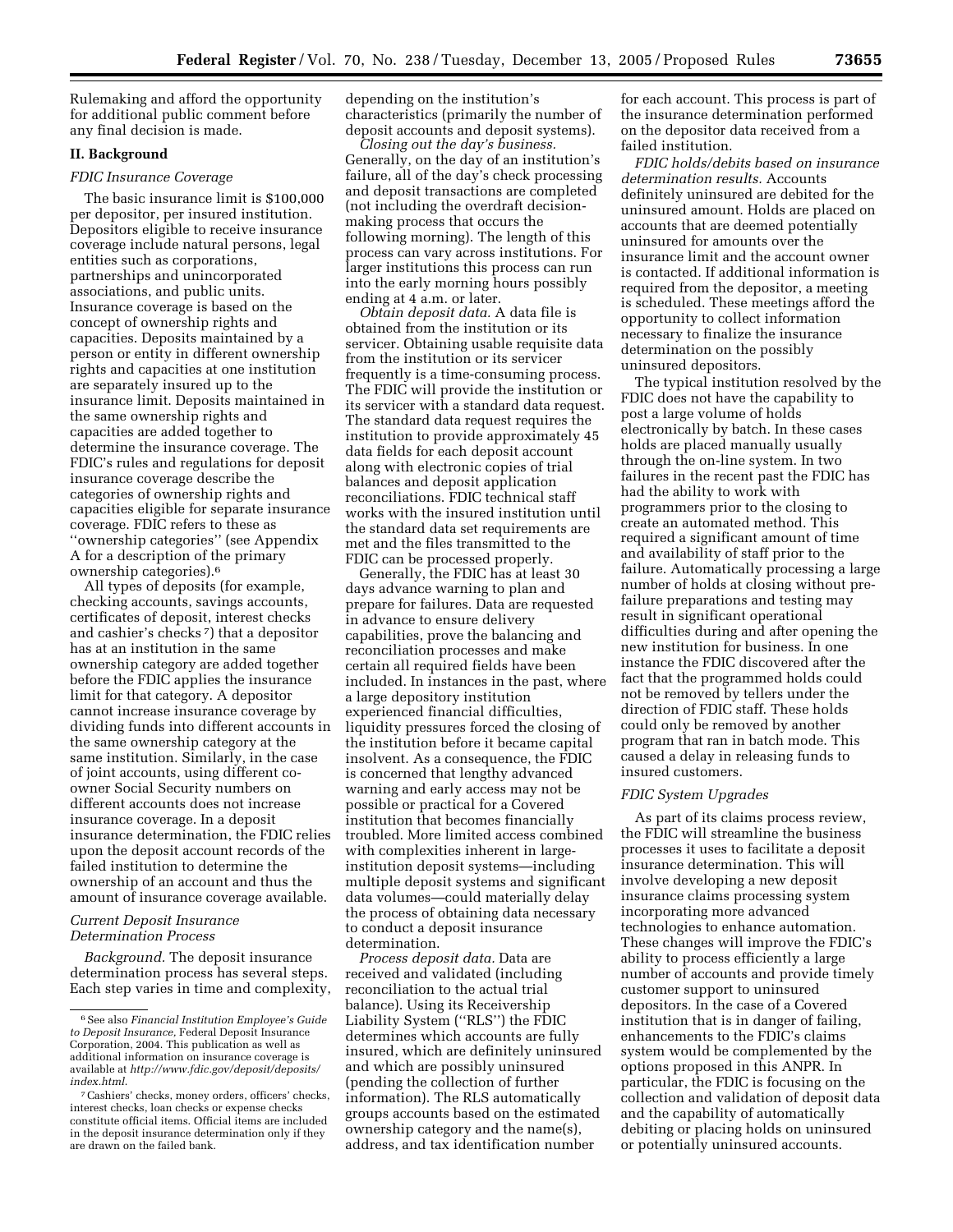Rulemaking and afford the opportunity for additional public comment before any final decision is made.

# **II. Background**

#### *FDIC Insurance Coverage*

The basic insurance limit is \$100,000 per depositor, per insured institution. Depositors eligible to receive insurance coverage include natural persons, legal entities such as corporations, partnerships and unincorporated associations, and public units. Insurance coverage is based on the concept of ownership rights and capacities. Deposits maintained by a person or entity in different ownership rights and capacities at one institution are separately insured up to the insurance limit. Deposits maintained in the same ownership rights and capacities are added together to determine the insurance coverage. The FDIC's rules and regulations for deposit insurance coverage describe the categories of ownership rights and capacities eligible for separate insurance coverage. FDIC refers to these as ''ownership categories'' (see Appendix A for a description of the primary ownership categories).6

All types of deposits (for example, checking accounts, savings accounts, certificates of deposit, interest checks and cashier's checks 7) that a depositor has at an institution in the same ownership category are added together before the FDIC applies the insurance limit for that category. A depositor cannot increase insurance coverage by dividing funds into different accounts in the same ownership category at the same institution. Similarly, in the case of joint accounts, using different coowner Social Security numbers on different accounts does not increase insurance coverage. In a deposit insurance determination, the FDIC relies upon the deposit account records of the failed institution to determine the ownership of an account and thus the amount of insurance coverage available.

# *Current Deposit Insurance Determination Process*

*Background.* The deposit insurance determination process has several steps. Each step varies in time and complexity, depending on the institution's characteristics (primarily the number of deposit accounts and deposit systems).

*Closing out the day's business.*  Generally, on the day of an institution's failure, all of the day's check processing and deposit transactions are completed (not including the overdraft decisionmaking process that occurs the following morning). The length of this process can vary across institutions. For larger institutions this process can run into the early morning hours possibly ending at 4 a.m. or later.

*Obtain deposit data.* A data file is obtained from the institution or its servicer. Obtaining usable requisite data from the institution or its servicer frequently is a time-consuming process. The FDIC will provide the institution or its servicer with a standard data request. The standard data request requires the institution to provide approximately 45 data fields for each deposit account along with electronic copies of trial balances and deposit application reconciliations. FDIC technical staff works with the insured institution until the standard data set requirements are met and the files transmitted to the FDIC can be processed properly.

Generally, the FDIC has at least 30 days advance warning to plan and prepare for failures. Data are requested in advance to ensure delivery capabilities, prove the balancing and reconciliation processes and make certain all required fields have been included. In instances in the past, where a large depository institution experienced financial difficulties, liquidity pressures forced the closing of the institution before it became capital insolvent. As a consequence, the FDIC is concerned that lengthy advanced warning and early access may not be possible or practical for a Covered institution that becomes financially troubled. More limited access combined with complexities inherent in largeinstitution deposit systems—including multiple deposit systems and significant data volumes—could materially delay the process of obtaining data necessary to conduct a deposit insurance determination.

*Process deposit data.* Data are received and validated (including reconciliation to the actual trial balance). Using its Receivership Liability System (''RLS'') the FDIC determines which accounts are fully insured, which are definitely uninsured and which are possibly uninsured (pending the collection of further information). The RLS automatically groups accounts based on the estimated ownership category and the name(s), address, and tax identification number

for each account. This process is part of the insurance determination performed on the depositor data received from a failed institution.

*FDIC holds/debits based on insurance determination results.* Accounts definitely uninsured are debited for the uninsured amount. Holds are placed on accounts that are deemed potentially uninsured for amounts over the insurance limit and the account owner is contacted. If additional information is required from the depositor, a meeting is scheduled. These meetings afford the opportunity to collect information necessary to finalize the insurance determination on the possibly uninsured depositors.

The typical institution resolved by the FDIC does not have the capability to post a large volume of holds electronically by batch. In these cases holds are placed manually usually through the on-line system. In two failures in the recent past the FDIC has had the ability to work with programmers prior to the closing to create an automated method. This required a significant amount of time and availability of staff prior to the failure. Automatically processing a large number of holds at closing without prefailure preparations and testing may result in significant operational difficulties during and after opening the new institution for business. In one instance the FDIC discovered after the fact that the programmed holds could not be removed by tellers under the direction of FDIC staff. These holds could only be removed by another program that ran in batch mode. This caused a delay in releasing funds to insured customers.

#### *FDIC System Upgrades*

As part of its claims process review, the FDIC will streamline the business processes it uses to facilitate a deposit insurance determination. This will involve developing a new deposit insurance claims processing system incorporating more advanced technologies to enhance automation. These changes will improve the FDIC's ability to process efficiently a large number of accounts and provide timely customer support to uninsured depositors. In the case of a Covered institution that is in danger of failing, enhancements to the FDIC's claims system would be complemented by the options proposed in this ANPR. In particular, the FDIC is focusing on the collection and validation of deposit data and the capability of automatically debiting or placing holds on uninsured or potentially uninsured accounts.

<sup>6</sup>See also *Financial Institution Employee's Guide to Deposit Insurance,* Federal Deposit Insurance Corporation, 2004. This publication as well as additional information on insurance coverage is available at *http://www.fdic.gov/deposit/deposits/ index.html*.

<sup>7</sup>Cashiers' checks, money orders, officers' checks, interest checks, loan checks or expense checks constitute official items. Official items are included in the deposit insurance determination only if they are drawn on the failed bank.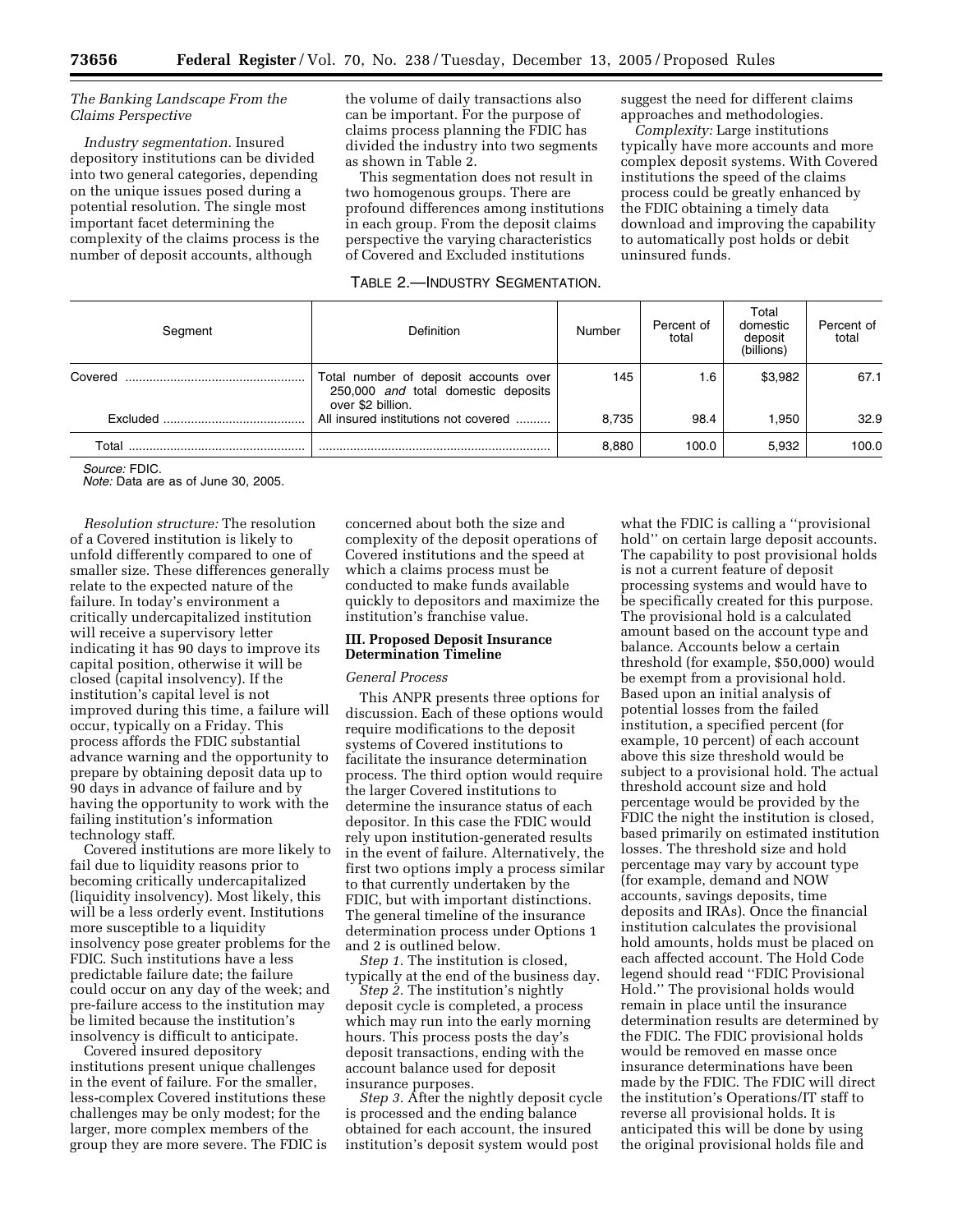#### *The Banking Landscape From the Claims Perspective*

*Industry segmentation.* Insured depository institutions can be divided into two general categories, depending on the unique issues posed during a potential resolution. The single most important facet determining the complexity of the claims process is the number of deposit accounts, although

the volume of daily transactions also can be important. For the purpose of claims process planning the FDIC has divided the industry into two segments as shown in Table 2.

This segmentation does not result in two homogenous groups. There are profound differences among institutions in each group. From the deposit claims perspective the varying characteristics of Covered and Excluded institutions

# TABLE 2.—INDUSTRY SEGMENTATION.

suggest the need for different claims approaches and methodologies.

*Complexity:* Large institutions typically have more accounts and more complex deposit systems. With Covered institutions the speed of the claims process could be greatly enhanced by the FDIC obtaining a timely data download and improving the capability to automatically post holds or debit uninsured funds.

| Segment  | <b>Definition</b>                                                                                 | Number | Percent of<br>total | Total<br>domestic<br>deposit<br>(billions) | Percent of<br>total |
|----------|---------------------------------------------------------------------------------------------------|--------|---------------------|--------------------------------------------|---------------------|
| Covered  | Total number of deposit accounts over<br>250,000 and total domestic deposits<br>over \$2 billion. | 145    | 1.6                 | \$3,982                                    | 67.1                |
| Excluded | All insured institutions not covered                                                              | 8.735  | 98.4                | 1.950                                      | 32.9                |
| Total    |                                                                                                   | 8,880  | 100.0               | 5.932                                      | 100.0               |

*Source:* FDIC.

*Note:* Data are as of June 30, 2005.

*Resolution structure:* The resolution of a Covered institution is likely to unfold differently compared to one of smaller size. These differences generally relate to the expected nature of the failure. In today's environment a critically undercapitalized institution will receive a supervisory letter indicating it has 90 days to improve its capital position, otherwise it will be closed (capital insolvency). If the institution's capital level is not improved during this time, a failure will occur, typically on a Friday. This process affords the FDIC substantial advance warning and the opportunity to prepare by obtaining deposit data up to 90 days in advance of failure and by having the opportunity to work with the failing institution's information technology staff.

Covered institutions are more likely to fail due to liquidity reasons prior to becoming critically undercapitalized (liquidity insolvency). Most likely, this will be a less orderly event. Institutions more susceptible to a liquidity insolvency pose greater problems for the FDIC. Such institutions have a less predictable failure date; the failure could occur on any day of the week; and pre-failure access to the institution may be limited because the institution's insolvency is difficult to anticipate.

Covered insured depository institutions present unique challenges in the event of failure. For the smaller, less-complex Covered institutions these challenges may be only modest; for the larger, more complex members of the group they are more severe. The FDIC is

concerned about both the size and complexity of the deposit operations of Covered institutions and the speed at which a claims process must be conducted to make funds available quickly to depositors and maximize the institution's franchise value.

#### **III. Proposed Deposit Insurance Determination Timeline**

#### *General Process*

This ANPR presents three options for discussion. Each of these options would require modifications to the deposit systems of Covered institutions to facilitate the insurance determination process. The third option would require the larger Covered institutions to determine the insurance status of each depositor. In this case the FDIC would rely upon institution-generated results in the event of failure. Alternatively, the first two options imply a process similar to that currently undertaken by the FDIC, but with important distinctions. The general timeline of the insurance determination process under Options 1 and 2 is outlined below.

*Step 1.* The institution is closed, typically at the end of the business day.

*Step 2.* The institution's nightly deposit cycle is completed, a process which may run into the early morning hours. This process posts the day's deposit transactions, ending with the account balance used for deposit insurance purposes.

*Step 3.* After the nightly deposit cycle is processed and the ending balance obtained for each account, the insured institution's deposit system would post

what the FDIC is calling a ''provisional hold'' on certain large deposit accounts. The capability to post provisional holds is not a current feature of deposit processing systems and would have to be specifically created for this purpose. The provisional hold is a calculated amount based on the account type and balance. Accounts below a certain threshold (for example, \$50,000) would be exempt from a provisional hold. Based upon an initial analysis of potential losses from the failed institution, a specified percent (for example, 10 percent) of each account above this size threshold would be subject to a provisional hold. The actual threshold account size and hold percentage would be provided by the FDIC the night the institution is closed, based primarily on estimated institution losses. The threshold size and hold percentage may vary by account type (for example, demand and NOW accounts, savings deposits, time deposits and IRAs). Once the financial institution calculates the provisional hold amounts, holds must be placed on each affected account. The Hold Code legend should read ''FDIC Provisional Hold.'' The provisional holds would remain in place until the insurance determination results are determined by the FDIC. The FDIC provisional holds would be removed en masse once insurance determinations have been made by the FDIC. The FDIC will direct the institution's Operations/IT staff to reverse all provisional holds. It is anticipated this will be done by using the original provisional holds file and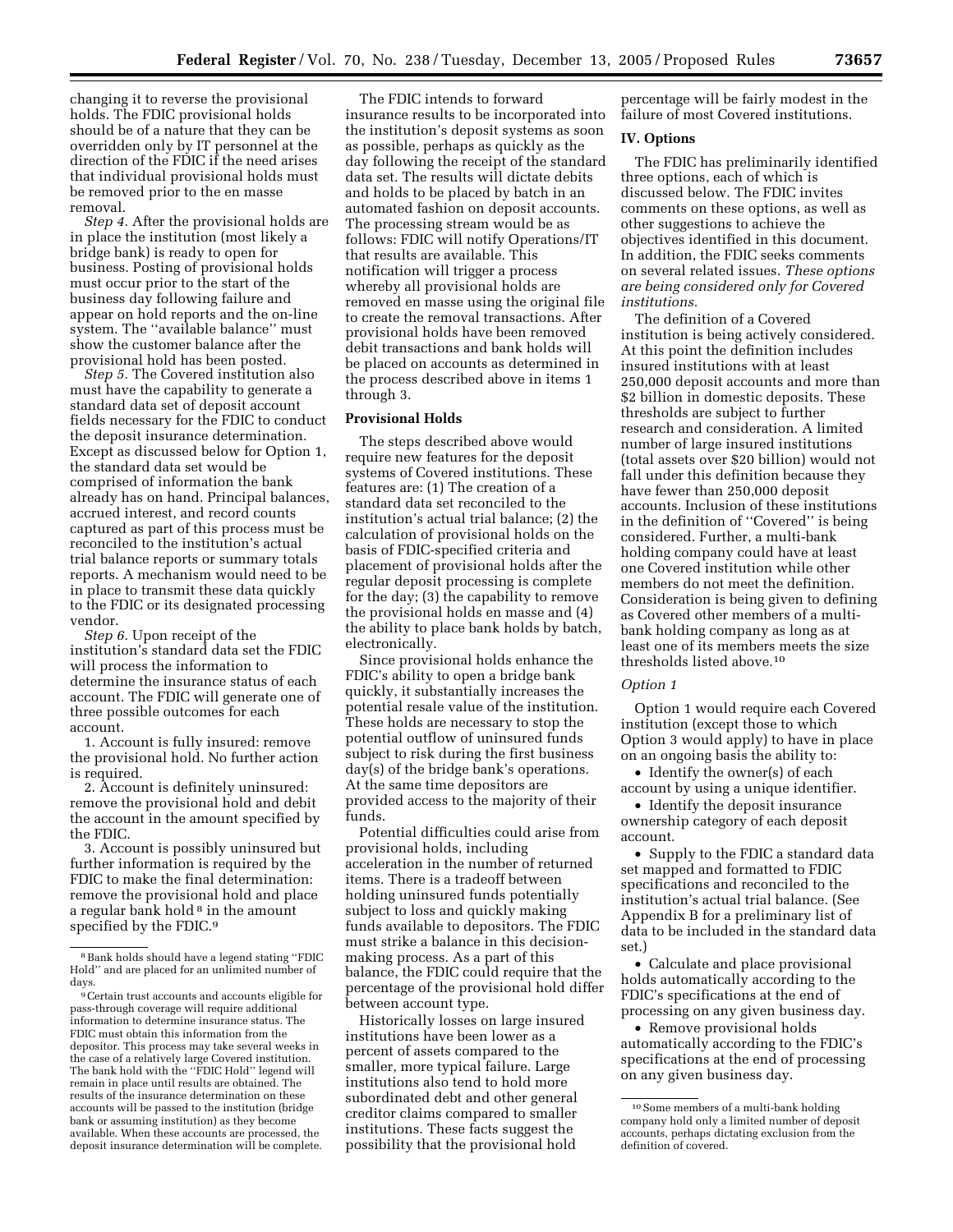changing it to reverse the provisional holds. The FDIC provisional holds should be of a nature that they can be overridden only by IT personnel at the direction of the FDIC if the need arises that individual provisional holds must be removed prior to the en masse removal.

*Step 4.* After the provisional holds are in place the institution (most likely a bridge bank) is ready to open for business. Posting of provisional holds must occur prior to the start of the business day following failure and appear on hold reports and the on-line system. The ''available balance'' must show the customer balance after the provisional hold has been posted.

*Step 5.* The Covered institution also must have the capability to generate a standard data set of deposit account fields necessary for the FDIC to conduct the deposit insurance determination. Except as discussed below for Option 1, the standard data set would be comprised of information the bank already has on hand. Principal balances, accrued interest, and record counts captured as part of this process must be reconciled to the institution's actual trial balance reports or summary totals reports. A mechanism would need to be in place to transmit these data quickly to the FDIC or its designated processing vendor.

*Step 6.* Upon receipt of the institution's standard data set the FDIC will process the information to determine the insurance status of each account. The FDIC will generate one of three possible outcomes for each account.

1. Account is fully insured: remove the provisional hold. No further action is required.

2. Account is definitely uninsured: remove the provisional hold and debit the account in the amount specified by the FDIC.

3. Account is possibly uninsured but further information is required by the FDIC to make the final determination: remove the provisional hold and place a regular bank hold<sup>8</sup> in the amount specified by the FDIC.<sup>9</sup>

The FDIC intends to forward insurance results to be incorporated into the institution's deposit systems as soon as possible, perhaps as quickly as the day following the receipt of the standard data set. The results will dictate debits and holds to be placed by batch in an automated fashion on deposit accounts. The processing stream would be as follows: FDIC will notify Operations/IT that results are available. This notification will trigger a process whereby all provisional holds are removed en masse using the original file to create the removal transactions. After provisional holds have been removed debit transactions and bank holds will be placed on accounts as determined in the process described above in items 1 through 3.

#### **Provisional Holds**

The steps described above would require new features for the deposit systems of Covered institutions. These features are: (1) The creation of a standard data set reconciled to the institution's actual trial balance; (2) the calculation of provisional holds on the basis of FDIC-specified criteria and placement of provisional holds after the regular deposit processing is complete for the day; (3) the capability to remove the provisional holds en masse and (4) the ability to place bank holds by batch, electronically.

Since provisional holds enhance the FDIC's ability to open a bridge bank quickly, it substantially increases the potential resale value of the institution. These holds are necessary to stop the potential outflow of uninsured funds subject to risk during the first business day(s) of the bridge bank's operations. At the same time depositors are provided access to the majority of their funds.

Potential difficulties could arise from provisional holds, including acceleration in the number of returned items. There is a tradeoff between holding uninsured funds potentially subject to loss and quickly making funds available to depositors. The FDIC must strike a balance in this decisionmaking process. As a part of this balance, the FDIC could require that the percentage of the provisional hold differ between account type.

Historically losses on large insured institutions have been lower as a percent of assets compared to the smaller, more typical failure. Large institutions also tend to hold more subordinated debt and other general creditor claims compared to smaller institutions. These facts suggest the possibility that the provisional hold

percentage will be fairly modest in the failure of most Covered institutions.

#### **IV. Options**

The FDIC has preliminarily identified three options, each of which is discussed below. The FDIC invites comments on these options, as well as other suggestions to achieve the objectives identified in this document. In addition, the FDIC seeks comments on several related issues. *These options are being considered only for Covered institutions.* 

The definition of a Covered institution is being actively considered. At this point the definition includes insured institutions with at least 250,000 deposit accounts and more than \$2 billion in domestic deposits. These thresholds are subject to further research and consideration. A limited number of large insured institutions (total assets over \$20 billion) would not fall under this definition because they have fewer than 250,000 deposit accounts. Inclusion of these institutions in the definition of ''Covered'' is being considered. Further, a multi-bank holding company could have at least one Covered institution while other members do not meet the definition. Consideration is being given to defining as Covered other members of a multibank holding company as long as at least one of its members meets the size thresholds listed above.10

#### *Option 1*

Option 1 would require each Covered institution (except those to which Option 3 would apply) to have in place on an ongoing basis the ability to:

• Identify the owner(s) of each account by using a unique identifier.

• Identify the deposit insurance ownership category of each deposit account.

• Supply to the FDIC a standard data set mapped and formatted to FDIC specifications and reconciled to the institution's actual trial balance. (See Appendix B for a preliminary list of data to be included in the standard data set.)

• Calculate and place provisional holds automatically according to the FDIC's specifications at the end of processing on any given business day.

• Remove provisional holds automatically according to the FDIC's specifications at the end of processing on any given business day.

<sup>8</sup>Bank holds should have a legend stating ''FDIC Hold'' and are placed for an unlimited number of days.

<sup>9</sup>Certain trust accounts and accounts eligible for pass-through coverage will require additional information to determine insurance status. The FDIC must obtain this information from the depositor. This process may take several weeks in the case of a relatively large Covered institution. The bank hold with the ''FDIC Hold'' legend will remain in place until results are obtained. The results of the insurance determination on these accounts will be passed to the institution (bridge bank or assuming institution) as they become available. When these accounts are processed, the deposit insurance determination will be complete.

<sup>10</sup>Some members of a multi-bank holding company hold only a limited number of deposit accounts, perhaps dictating exclusion from the definition of covered.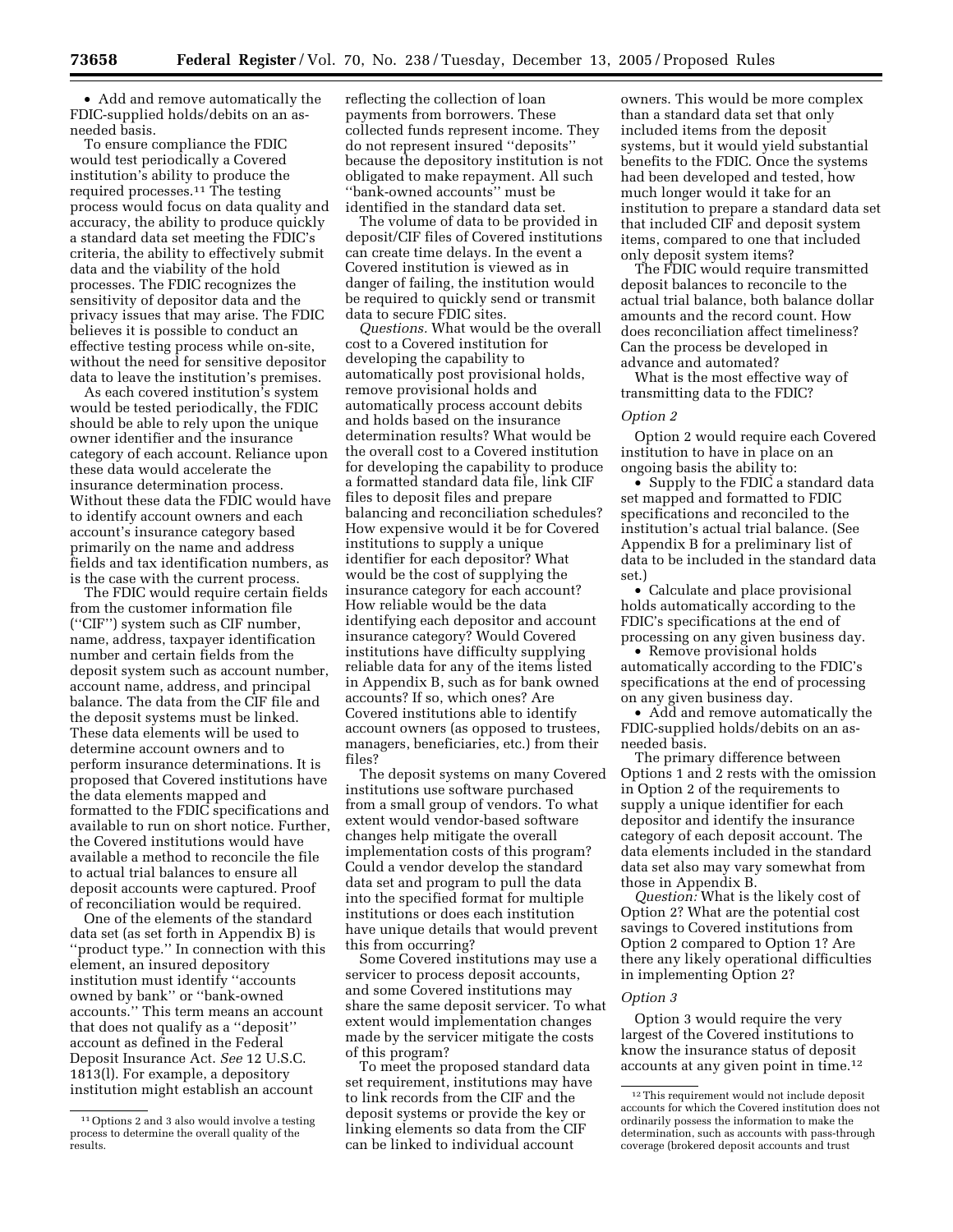• Add and remove automatically the FDIC-supplied holds/debits on an asneeded basis.

To ensure compliance the FDIC would test periodically a Covered institution's ability to produce the required processes.11 The testing process would focus on data quality and accuracy, the ability to produce quickly a standard data set meeting the FDIC's criteria, the ability to effectively submit data and the viability of the hold processes. The FDIC recognizes the sensitivity of depositor data and the privacy issues that may arise. The FDIC believes it is possible to conduct an effective testing process while on-site, without the need for sensitive depositor data to leave the institution's premises.

As each covered institution's system would be tested periodically, the FDIC should be able to rely upon the unique owner identifier and the insurance category of each account. Reliance upon these data would accelerate the insurance determination process. Without these data the FDIC would have to identify account owners and each account's insurance category based primarily on the name and address fields and tax identification numbers, as is the case with the current process.

The FDIC would require certain fields from the customer information file (''CIF'') system such as CIF number, name, address, taxpayer identification number and certain fields from the deposit system such as account number, account name, address, and principal balance. The data from the CIF file and the deposit systems must be linked. These data elements will be used to determine account owners and to perform insurance determinations. It is proposed that Covered institutions have the data elements mapped and formatted to the FDIC specifications and available to run on short notice. Further, the Covered institutions would have available a method to reconcile the file to actual trial balances to ensure all deposit accounts were captured. Proof of reconciliation would be required.

One of the elements of the standard data set (as set forth in Appendix B) is ''product type.'' In connection with this element, an insured depository institution must identify ''accounts owned by bank'' or ''bank-owned accounts.'' This term means an account that does not qualify as a ''deposit'' account as defined in the Federal Deposit Insurance Act. *See* 12 U.S.C. 1813(l). For example, a depository institution might establish an account

reflecting the collection of loan payments from borrowers. These collected funds represent income. They do not represent insured ''deposits'' because the depository institution is not obligated to make repayment. All such ''bank-owned accounts'' must be identified in the standard data set.

The volume of data to be provided in deposit/CIF files of Covered institutions can create time delays. In the event a Covered institution is viewed as in danger of failing, the institution would be required to quickly send or transmit data to secure FDIC sites.

*Questions.* What would be the overall cost to a Covered institution for developing the capability to automatically post provisional holds, remove provisional holds and automatically process account debits and holds based on the insurance determination results? What would be the overall cost to a Covered institution for developing the capability to produce a formatted standard data file, link CIF files to deposit files and prepare balancing and reconciliation schedules? How expensive would it be for Covered institutions to supply a unique identifier for each depositor? What would be the cost of supplying the insurance category for each account? How reliable would be the data identifying each depositor and account insurance category? Would Covered institutions have difficulty supplying reliable data for any of the items listed in Appendix B, such as for bank owned accounts? If so, which ones? Are Covered institutions able to identify account owners (as opposed to trustees, managers, beneficiaries, etc.) from their files?

The deposit systems on many Covered institutions use software purchased from a small group of vendors. To what extent would vendor-based software changes help mitigate the overall implementation costs of this program? Could a vendor develop the standard data set and program to pull the data into the specified format for multiple institutions or does each institution have unique details that would prevent this from occurring?

Some Covered institutions may use a servicer to process deposit accounts, and some Covered institutions may share the same deposit servicer. To what extent would implementation changes made by the servicer mitigate the costs of this program?

To meet the proposed standard data set requirement, institutions may have to link records from the CIF and the deposit systems or provide the key or linking elements so data from the CIF can be linked to individual account

owners. This would be more complex than a standard data set that only included items from the deposit systems, but it would yield substantial benefits to the FDIC. Once the systems had been developed and tested, how much longer would it take for an institution to prepare a standard data set that included CIF and deposit system items, compared to one that included only deposit system items?

The FDIC would require transmitted deposit balances to reconcile to the actual trial balance, both balance dollar amounts and the record count. How does reconciliation affect timeliness? Can the process be developed in advance and automated?

What is the most effective way of transmitting data to the FDIC?

#### *Option 2*

Option 2 would require each Covered institution to have in place on an ongoing basis the ability to:

• Supply to the FDIC a standard data set mapped and formatted to FDIC specifications and reconciled to the institution's actual trial balance. (See Appendix B for a preliminary list of data to be included in the standard data set.)

• Calculate and place provisional holds automatically according to the FDIC's specifications at the end of processing on any given business day.

• Remove provisional holds automatically according to the FDIC's specifications at the end of processing on any given business day.

• Add and remove automatically the FDIC-supplied holds/debits on an asneeded basis.

The primary difference between Options 1 and 2 rests with the omission in Option 2 of the requirements to supply a unique identifier for each depositor and identify the insurance category of each deposit account. The data elements included in the standard data set also may vary somewhat from those in Appendix B.

*Question:* What is the likely cost of Option 2? What are the potential cost savings to Covered institutions from Option 2 compared to Option 1? Are there any likely operational difficulties in implementing Option 2?

# *Option 3*

Option 3 would require the very largest of the Covered institutions to know the insurance status of deposit accounts at any given point in time.12

<sup>11</sup>Options 2 and 3 also would involve a testing process to determine the overall quality of the results.

<sup>12</sup>This requirement would not include deposit accounts for which the Covered institution does not ordinarily possess the information to make the determination, such as accounts with pass-through coverage (brokered deposit accounts and trust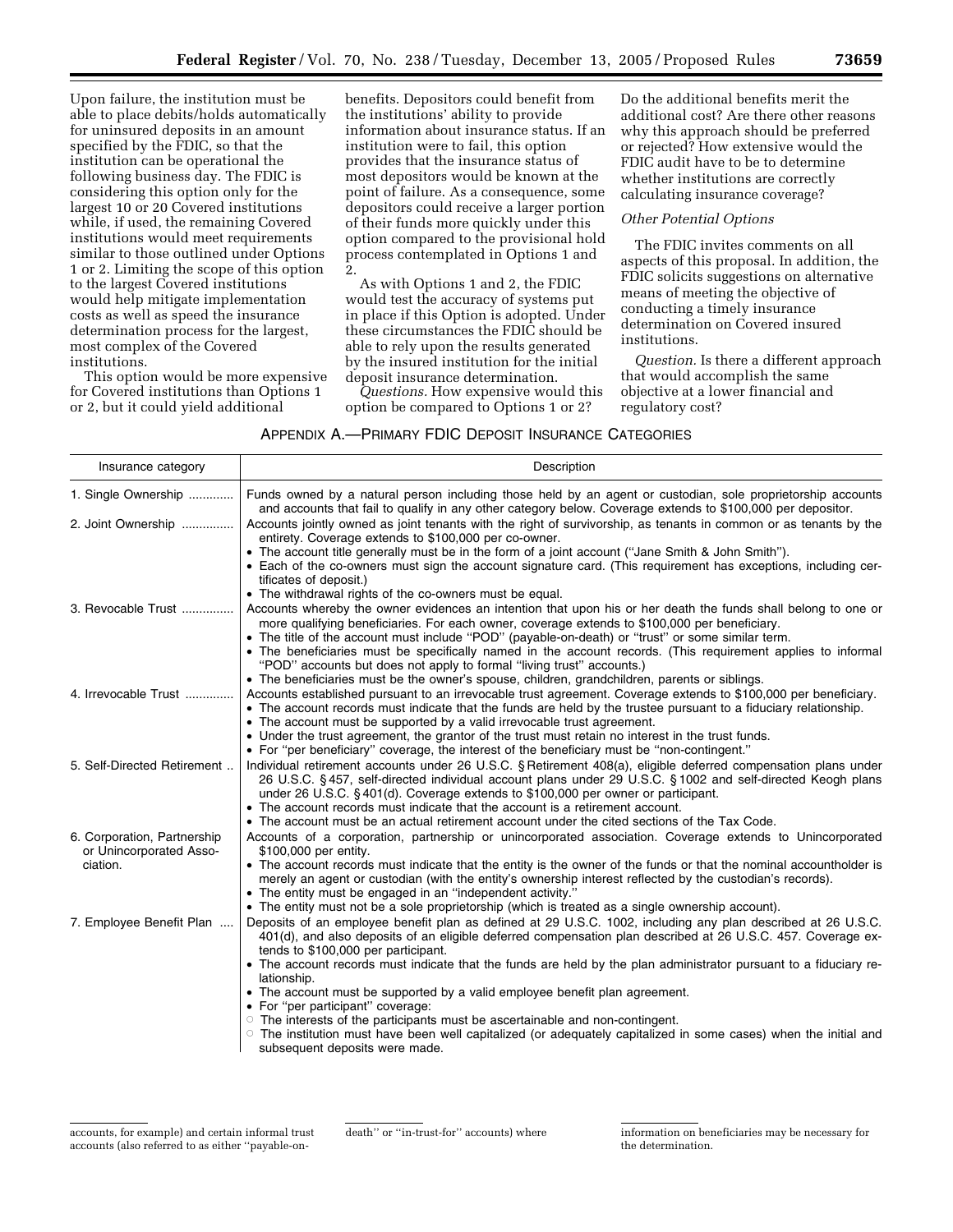Upon failure, the institution must be able to place debits/holds automatically for uninsured deposits in an amount specified by the FDIC, so that the institution can be operational the following business day. The FDIC is considering this option only for the largest 10 or 20 Covered institutions while, if used, the remaining Covered institutions would meet requirements similar to those outlined under Options 1 or 2. Limiting the scope of this option to the largest Covered institutions would help mitigate implementation costs as well as speed the insurance determination process for the largest, most complex of the Covered institutions.

This option would be more expensive for Covered institutions than Options 1 or 2, but it could yield additional

benefits. Depositors could benefit from the institutions' ability to provide information about insurance status. If an institution were to fail, this option provides that the insurance status of most depositors would be known at the point of failure. As a consequence, some depositors could receive a larger portion of their funds more quickly under this option compared to the provisional hold process contemplated in Options 1 and 2.

As with Options 1 and 2, the FDIC would test the accuracy of systems put in place if this Option is adopted. Under these circumstances the FDIC should be able to rely upon the results generated by the insured institution for the initial deposit insurance determination.

*Questions.* How expensive would this option be compared to Options 1 or 2?

Do the additional benefits merit the additional cost? Are there other reasons why this approach should be preferred or rejected? How extensive would the FDIC audit have to be to determine whether institutions are correctly calculating insurance coverage?

# *Other Potential Options*

The FDIC invites comments on all aspects of this proposal. In addition, the FDIC solicits suggestions on alternative means of meeting the objective of conducting a timely insurance determination on Covered insured institutions.

*Question.* Is there a different approach that would accomplish the same objective at a lower financial and regulatory cost?

APPENDIX A.—PRIMARY FDIC DEPOSIT INSURANCE CATEGORIES

| Insurance category                                     | Description                                                                                                                                                                                                                                                                                                       |
|--------------------------------------------------------|-------------------------------------------------------------------------------------------------------------------------------------------------------------------------------------------------------------------------------------------------------------------------------------------------------------------|
| 1. Single Ownership                                    | Funds owned by a natural person including those held by an agent or custodian, sole proprietorship accounts<br>and accounts that fail to qualify in any other category below. Coverage extends to \$100,000 per depositor.                                                                                        |
| 2. Joint Ownership                                     | Accounts jointly owned as joint tenants with the right of survivorship, as tenants in common or as tenants by the<br>entirety. Coverage extends to \$100,000 per co-owner.                                                                                                                                        |
|                                                        | • The account title generally must be in the form of a joint account ("Jane Smith & John Smith").<br>• Each of the co-owners must sign the account signature card. (This requirement has exceptions, including cer-<br>tificates of deposit.)                                                                     |
| 3. Revocable Trust                                     | • The withdrawal rights of the co-owners must be equal.<br>Accounts whereby the owner evidences an intention that upon his or her death the funds shall belong to one or                                                                                                                                          |
|                                                        | more qualifying beneficiaries. For each owner, coverage extends to \$100,000 per beneficiary.<br>• The title of the account must include "POD" (payable-on-death) or "trust" or some similar term.                                                                                                                |
|                                                        | • The beneficiaries must be specifically named in the account records. (This requirement applies to informal<br>"POD" accounts but does not apply to formal "living trust" accounts.)                                                                                                                             |
|                                                        | • The beneficiaries must be the owner's spouse, children, grandchildren, parents or siblings.                                                                                                                                                                                                                     |
| 4. Irrevocable Trust                                   | Accounts established pursuant to an irrevocable trust agreement. Coverage extends to \$100,000 per beneficiary.<br>• The account records must indicate that the funds are held by the trustee pursuant to a fiduciary relationship.                                                                               |
|                                                        | • The account must be supported by a valid irrevocable trust agreement.<br>• Under the trust agreement, the grantor of the trust must retain no interest in the trust funds.                                                                                                                                      |
|                                                        | • For "per beneficiary" coverage, the interest of the beneficiary must be "non-contingent."                                                                                                                                                                                                                       |
| 5. Self-Directed Retirement                            | Individual retirement accounts under 26 U.S.C. § Retirement 408(a), eligible deferred compensation plans under<br>26 U.S.C. §457, self-directed individual account plans under 29 U.S.C. §1002 and self-directed Keogh plans<br>under 26 U.S.C. § 401(d). Coverage extends to \$100,000 per owner or participant. |
|                                                        | • The account records must indicate that the account is a retirement account.                                                                                                                                                                                                                                     |
|                                                        | • The account must be an actual retirement account under the cited sections of the Tax Code.                                                                                                                                                                                                                      |
| 6. Corporation, Partnership<br>or Unincorporated Asso- | Accounts of a corporation, partnership or unincorporated association. Coverage extends to Unincorporated<br>\$100,000 per entity.                                                                                                                                                                                 |
| ciation.                                               | • The account records must indicate that the entity is the owner of the funds or that the nominal accountholder is<br>merely an agent or custodian (with the entity's ownership interest reflected by the custodian's records).<br>• The entity must be engaged in an "independent activity."                     |
|                                                        | • The entity must not be a sole proprietorship (which is treated as a single ownership account).                                                                                                                                                                                                                  |
| 7. Employee Benefit Plan                               | Deposits of an employee benefit plan as defined at 29 U.S.C. 1002, including any plan described at 26 U.S.C.<br>401(d), and also deposits of an eligible deferred compensation plan described at 26 U.S.C. 457. Coverage ex-<br>tends to \$100,000 per participant.                                               |
|                                                        | • The account records must indicate that the funds are held by the plan administrator pursuant to a fiduciary re-<br>lationship.                                                                                                                                                                                  |
|                                                        | • The account must be supported by a valid employee benefit plan agreement.<br>• For "per participant" coverage:                                                                                                                                                                                                  |
|                                                        | $\circ$ The interests of the participants must be ascertainable and non-contingent.<br>The institution must have been well capitalized (or adequately capitalized in some cases) when the initial and<br>subsequent deposits were made.                                                                           |

accounts, for example) and certain informal trust accounts (also referred to as either ''payable-on-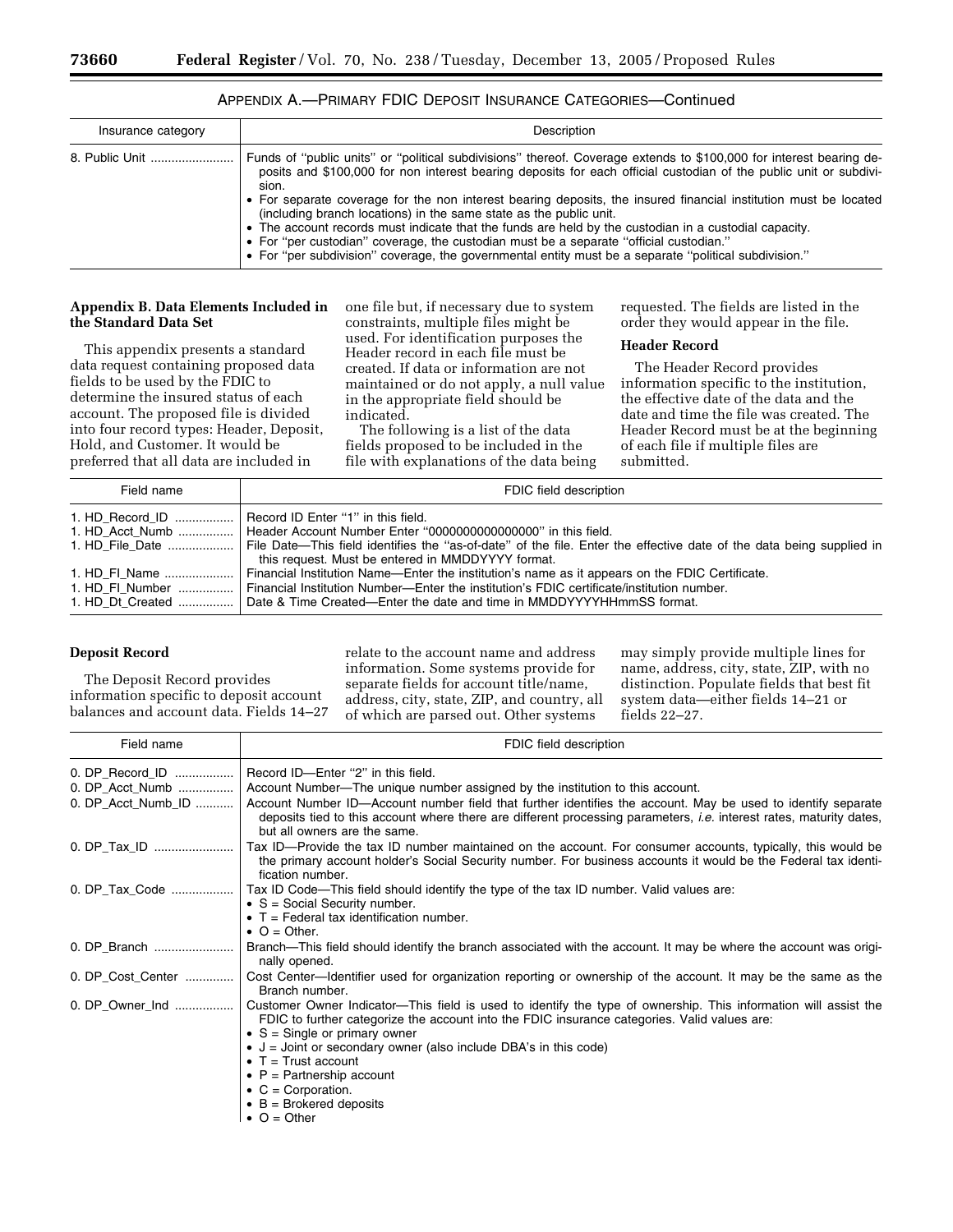| Insurance category | Description                                                                                                                                                                                                                                                                                                                                                                                                                                                                                                                                                                                                                                                                                                                                             |
|--------------------|---------------------------------------------------------------------------------------------------------------------------------------------------------------------------------------------------------------------------------------------------------------------------------------------------------------------------------------------------------------------------------------------------------------------------------------------------------------------------------------------------------------------------------------------------------------------------------------------------------------------------------------------------------------------------------------------------------------------------------------------------------|
| 8. Public Unit     | Funds of "public units" or "political subdivisions" thereof. Coverage extends to \$100,000 for interest bearing de-<br>posits and \$100,000 for non interest bearing deposits for each official custodian of the public unit or subdivi-<br>sion.<br>• For separate coverage for the non interest bearing deposits, the insured financial institution must be located<br>(including branch locations) in the same state as the public unit.<br>• The account records must indicate that the funds are held by the custodian in a custodial capacity.<br>• For "per custodian" coverage, the custodian must be a separate "official custodian."<br>• For "per subdivision" coverage, the governmental entity must be a separate "political subdivision." |

# APPENDIX A.—PRIMARY FDIC DEPOSIT INSURANCE CATEGORIES—Continued

#### **Appendix B. Data Elements Included in the Standard Data Set**

This appendix presents a standard data request containing proposed data fields to be used by the FDIC to determine the insured status of each account. The proposed file is divided into four record types: Header, Deposit, Hold, and Customer. It would be preferred that all data are included in

one file but, if necessary due to system constraints, multiple files might be used. For identification purposes the Header record in each file must be created. If data or information are not maintained or do not apply, a null value in the appropriate field should be indicated.

The following is a list of the data fields proposed to be included in the file with explanations of the data being requested. The fields are listed in the order they would appear in the file.

#### **Header Record**

The Header Record provides information specific to the institution, the effective date of the data and the date and time the file was created. The Header Record must be at the beginning of each file if multiple files are submitted.

| Field name | FDIC field description                                                                                                                                                                                                                                                                                                                      |
|------------|---------------------------------------------------------------------------------------------------------------------------------------------------------------------------------------------------------------------------------------------------------------------------------------------------------------------------------------------|
|            | 1. HD Record ID    Record ID Enter "1" in this field.<br>1. HD Acct Numb    Header Account Number Enter "000000000000000000" in this field.<br>1. HD File Date    File Date—This field identifies the "as-of-date" of the file. Enter the effective date of the data being supplied in<br>this request. Must be entered in MMDDYYYY format. |
|            | Financial Institution Name—Enter the institution's name as it appears on the FDIC Certificate.<br>1. HD FI Number  Financial Institution Number—Enter the institution's FDIC certificate/institution number.<br>1. HD Dt Created  Date & Time Created—Enter the date and time in MMDDYYYYHHmmSS format.                                     |

# **Deposit Record**

The Deposit Record provides information specific to deposit account balances and account data. Fields 14–27 relate to the account name and address information. Some systems provide for separate fields for account title/name, address, city, state, ZIP, and country, all of which are parsed out. Other systems

may simply provide multiple lines for name, address, city, state, ZIP, with no distinction. Populate fields that best fit system data—either fields 14–21 or fields 22–27.

| Field name         | FDIC field description                                                                                                                                                                                                                                                     |
|--------------------|----------------------------------------------------------------------------------------------------------------------------------------------------------------------------------------------------------------------------------------------------------------------------|
| 0. DP_Record_ID    | Record ID-Enter "2" in this field.                                                                                                                                                                                                                                         |
| 0. DP_Acct_Numb    | Account Number-The unique number assigned by the institution to this account.                                                                                                                                                                                              |
| 0. DP Acct Numb ID | Account Number ID—Account number field that further identifies the account. May be used to identify separate<br>deposits tied to this account where there are different processing parameters, <i>i.e.</i> interest rates, maturity dates,<br>but all owners are the same. |
| 0. DP_Tax_ID       | Tax ID—Provide the tax ID number maintained on the account. For consumer accounts, typically, this would be<br>the primary account holder's Social Security number. For business accounts it would be the Federal tax identi-<br>fication number.                          |
| 0. DP_Tax_Code     | Tax ID Code—This field should identify the type of the tax ID number. Valid values are:                                                                                                                                                                                    |
|                    | $\bullet$ S = Social Security number.                                                                                                                                                                                                                                      |
|                    | $\bullet$ T = Federal tax identification number.                                                                                                                                                                                                                           |
|                    | $\bullet$ O = Other.                                                                                                                                                                                                                                                       |
| 0. DP_Branch       | Branch—This field should identify the branch associated with the account. It may be where the account was origi-<br>nally opened.                                                                                                                                          |
|                    | 0. DP_Cost_Center   Cost Center—Identifier used for organization reporting or ownership of the account. It may be the same as the<br>Branch number.                                                                                                                        |
| 0. DP_Owner_Ind    | Customer Owner Indicator—This field is used to identify the type of ownership. This information will assist the<br>FDIC to further categorize the account into the FDIC insurance categories. Valid values are:                                                            |
|                    | • $S =$ Single or primary owner<br>• $J =$ Joint or secondary owner (also include DBA's in this code)                                                                                                                                                                      |
|                    | $\bullet$ T = Trust account                                                                                                                                                                                                                                                |
|                    | • $P =$ Partnership account                                                                                                                                                                                                                                                |
|                    | • $C = Corporation$ .                                                                                                                                                                                                                                                      |
|                    | $\bullet$ B = Brokered deposits                                                                                                                                                                                                                                            |
|                    | $\bullet$ O = Other                                                                                                                                                                                                                                                        |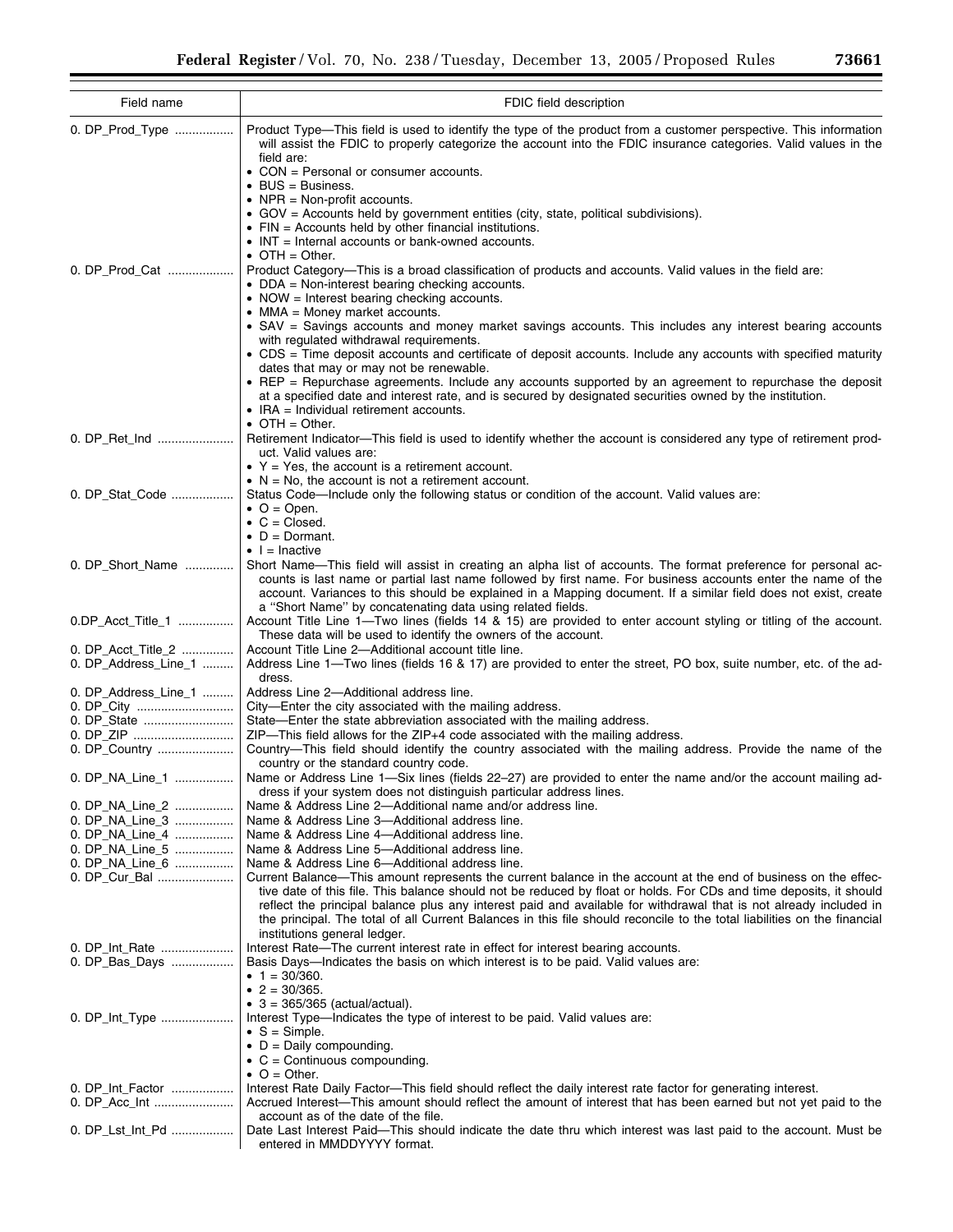| Field name           | FDIC field description                                                                                                                                                                                                                                                                                                                                                                                           |
|----------------------|------------------------------------------------------------------------------------------------------------------------------------------------------------------------------------------------------------------------------------------------------------------------------------------------------------------------------------------------------------------------------------------------------------------|
| 0. DP_Prod_Type      | Product Type—This field is used to identify the type of the product from a customer perspective. This information<br>will assist the FDIC to properly categorize the account into the FDIC insurance categories. Valid values in the<br>field are:                                                                                                                                                               |
|                      | • CON = Personal or consumer accounts.<br>$\bullet$ BUS = Business.                                                                                                                                                                                                                                                                                                                                              |
|                      | • NPR = Non-profit accounts.<br>• GOV = Accounts held by government entities (city, state, political subdivisions).                                                                                                                                                                                                                                                                                              |
|                      | $\bullet$ FIN = Accounts held by other financial institutions.                                                                                                                                                                                                                                                                                                                                                   |
|                      | • INT = Internal accounts or bank-owned accounts.<br>$\bullet$ OTH = Other.                                                                                                                                                                                                                                                                                                                                      |
| 0. DP_Prod_Cat       | Product Category—This is a broad classification of products and accounts. Valid values in the field are:<br>• $DDA = Non-interest bearing checking accounts.$<br>• NOW = Interest bearing checking accounts.                                                                                                                                                                                                     |
|                      | • MMA = Money market accounts.<br>• SAV = Savings accounts and money market savings accounts. This includes any interest bearing accounts                                                                                                                                                                                                                                                                        |
|                      | with regulated withdrawal requirements.<br>• CDS = Time deposit accounts and certificate of deposit accounts. Include any accounts with specified maturity                                                                                                                                                                                                                                                       |
|                      | dates that may or may not be renewable.<br>• REP = Repurchase agreements. Include any accounts supported by an agreement to repurchase the deposit                                                                                                                                                                                                                                                               |
|                      | at a specified date and interest rate, and is secured by designated securities owned by the institution.<br>• IRA = Individual retirement accounts.                                                                                                                                                                                                                                                              |
| 0. DP_Ret_Ind        | • OTH = Other.<br>Retirement Indicator—This field is used to identify whether the account is considered any type of retirement prod-                                                                                                                                                                                                                                                                             |
|                      | uct. Valid values are:<br>• $Y = Yes$ , the account is a retirement account.                                                                                                                                                                                                                                                                                                                                     |
|                      | $\bullet$ N = No, the account is not a retirement account.                                                                                                                                                                                                                                                                                                                                                       |
| 0. DP_Stat_Code      | Status Code—Include only the following status or condition of the account. Valid values are:<br>$\bullet$ O = Open.                                                                                                                                                                                                                                                                                              |
|                      | $\bullet$ C = Closed.<br>$\bullet$ D = Dormant.                                                                                                                                                                                                                                                                                                                                                                  |
|                      | $\bullet$   = Inactive                                                                                                                                                                                                                                                                                                                                                                                           |
| 0. DP_Short_Name     | Short Name-This field will assist in creating an alpha list of accounts. The format preference for personal ac-<br>counts is last name or partial last name followed by first name. For business accounts enter the name of the<br>account. Variances to this should be explained in a Mapping document. If a similar field does not exist, create<br>a "Short Name" by concatenating data using related fields. |
| 0.DP_Acct_Title_1    | Account Title Line 1—Two lines (fields 14 & 15) are provided to enter account styling or titling of the account.<br>These data will be used to identify the owners of the account.                                                                                                                                                                                                                               |
| 0. DP_Acct_Title_2   | Account Title Line 2-Additional account title line.                                                                                                                                                                                                                                                                                                                                                              |
| 0. DP_Address_Line_1 | Address Line 1—Two lines (fields 16 & 17) are provided to enter the street, PO box, suite number, etc. of the ad-<br>dress.                                                                                                                                                                                                                                                                                      |
| 0. DP_Address_Line_1 | Address Line 2-Additional address line.<br>City-Enter the city associated with the mailing address.                                                                                                                                                                                                                                                                                                              |
| 0. DP_State          | State-Enter the state abbreviation associated with the mailing address.                                                                                                                                                                                                                                                                                                                                          |
| 0. DP_ZIP            | ZIP—This field allows for the ZIP+4 code associated with the mailing address.                                                                                                                                                                                                                                                                                                                                    |
| 0. DP_Country        | Country—This field should identify the country associated with the mailing address. Provide the name of the                                                                                                                                                                                                                                                                                                      |
| 0. DP_NA_Line_1      | country or the standard country code.<br>Name or Address Line 1-Six lines (fields 22-27) are provided to enter the name and/or the account mailing ad-                                                                                                                                                                                                                                                           |
| 0. DP_NA_Line_2      | dress if your system does not distinguish particular address lines.<br>Name & Address Line 2-Additional name and/or address line.                                                                                                                                                                                                                                                                                |
| 0. DP_NA_Line_3      | Name & Address Line 3-Additional address line.                                                                                                                                                                                                                                                                                                                                                                   |
| 0. DP NA Line 4      | Name & Address Line 4-Additional address line.                                                                                                                                                                                                                                                                                                                                                                   |
| 0. DP NA Line 5      | Name & Address Line 5—Additional address line.                                                                                                                                                                                                                                                                                                                                                                   |
| 0. DP_NA_Line_6      | Name & Address Line 6-Additional address line.                                                                                                                                                                                                                                                                                                                                                                   |
| 0. DP_Cur_Bal        | Current Balance—This amount represents the current balance in the account at the end of business on the effec-                                                                                                                                                                                                                                                                                                   |
|                      | tive date of this file. This balance should not be reduced by float or holds. For CDs and time deposits, it should<br>reflect the principal balance plus any interest paid and available for withdrawal that is not already included in<br>the principal. The total of all Current Balances in this file should reconcile to the total liabilities on the financial                                              |
| 0. DP Int Rate       | institutions general ledger.<br>Interest Rate—The current interest rate in effect for interest bearing accounts.                                                                                                                                                                                                                                                                                                 |
| 0. DP_Bas_Days       | Basis Days—Indicates the basis on which interest is to be paid. Valid values are:                                                                                                                                                                                                                                                                                                                                |
|                      | • $1 = 30/360$ .<br>• $2 = 30/365$ .                                                                                                                                                                                                                                                                                                                                                                             |
|                      | • $3 = 365/365$ (actual/actual).                                                                                                                                                                                                                                                                                                                                                                                 |
| 0. DP_Int_Type       | Interest Type—Indicates the type of interest to be paid. Valid values are:<br>$\bullet$ S = Simple.                                                                                                                                                                                                                                                                                                              |
|                      | $\bullet$ D = Daily compounding.<br>• $C =$ Continuous compounding.                                                                                                                                                                                                                                                                                                                                              |
|                      | $\bullet$ O = Other.                                                                                                                                                                                                                                                                                                                                                                                             |
| 0. DP_Int_Factor     | Interest Rate Daily Factor-This field should reflect the daily interest rate factor for generating interest.                                                                                                                                                                                                                                                                                                     |
| 0. DP_Acc_Int        | Accrued Interest—This amount should reflect the amount of interest that has been earned but not yet paid to the                                                                                                                                                                                                                                                                                                  |
|                      | account as of the date of the file.                                                                                                                                                                                                                                                                                                                                                                              |
| 0. DP_Lst_Int_Pd     | Date Last Interest Paid-This should indicate the date thru which interest was last paid to the account. Must be<br>entered in MMDDYYYY format.                                                                                                                                                                                                                                                                   |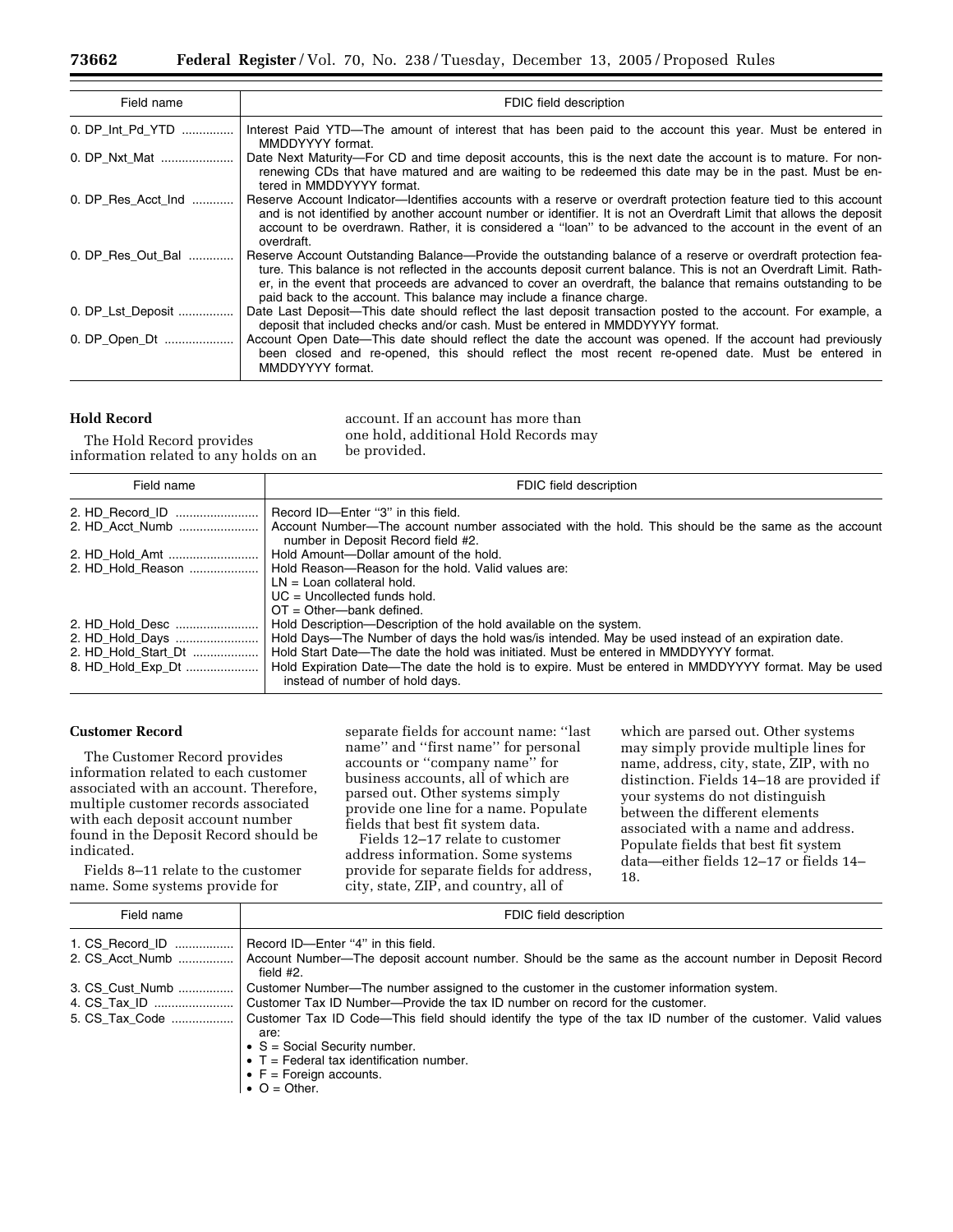| Field name         | FDIC field description                                                                                                                                                                                                                                                                                                                                                                                                       |
|--------------------|------------------------------------------------------------------------------------------------------------------------------------------------------------------------------------------------------------------------------------------------------------------------------------------------------------------------------------------------------------------------------------------------------------------------------|
| 0. DP_Int_Pd_YTD   | Interest Paid YTD-The amount of interest that has been paid to the account this year. Must be entered in<br>MMDDYYYY format.                                                                                                                                                                                                                                                                                                 |
| 0. DP Nxt Mat      | Date Next Maturity—For CD and time deposit accounts, this is the next date the account is to mature. For non-<br>renewing CDs that have matured and are waiting to be redeemed this date may be in the past. Must be en-<br>tered in MMDDYYYY format.                                                                                                                                                                        |
| 0. DP Res Acct Ind | Reserve Account Indicator—Identifies accounts with a reserve or overdraft protection feature tied to this account<br>and is not identified by another account number or identifier. It is not an Overdraft Limit that allows the deposit<br>account to be overdrawn. Rather, it is considered a "loan" to be advanced to the account in the event of an<br>overdraft.                                                        |
| 0. DP_Res_Out_Bal  | Reserve Account Outstanding Balance—Provide the outstanding balance of a reserve or overdraft protection fea-<br>ture. This balance is not reflected in the accounts deposit current balance. This is not an Overdraft Limit. Rath-<br>er, in the event that proceeds are advanced to cover an overdraft, the balance that remains outstanding to be<br>paid back to the account. This balance may include a finance charge. |
| 0. DP_Lst_Deposit  | Date Last Deposit—This date should reflect the last deposit transaction posted to the account. For example, a<br>deposit that included checks and/or cash. Must be entered in MMDDYYYY format.                                                                                                                                                                                                                               |
| 0. DP_Open_Dt      | Account Open Date—This date should reflect the date the account was opened. If the account had previously<br>been closed and re-opened, this should reflect the most recent re-opened date. Must be entered in<br>MMDDYYYY format.                                                                                                                                                                                           |

# **Hold Record**

account. If an account has more than one hold, additional Hold Records may be provided.

The Hold Record provides information related to any holds on an

| Field name        | FDIC field description                                                                                                                   |
|-------------------|------------------------------------------------------------------------------------------------------------------------------------------|
|                   | Record ID—Enter "3" in this field.                                                                                                       |
|                   | Account Number—The account number associated with the hold. This should be the same as the account<br>number in Deposit Record field #2. |
|                   | Hold Amount--Dollar amount of the hold.                                                                                                  |
|                   | 2. HD Hold Reason    Hold Reason—Reason for the hold. Valid values are:                                                                  |
|                   | $LN =$ Loan collateral hold.                                                                                                             |
|                   | $UC =$ Uncollected funds hold.                                                                                                           |
|                   | $OT = Other$ - $bank$ defined.                                                                                                           |
|                   | Hold Description—Description of the hold available on the system.                                                                        |
|                   | Hold Days—The Number of days the hold was/is intended. May be used instead of an expiration date.                                        |
|                   | Hold Start Date—The date the hold was initiated. Must be entered in MMDDYYYY format.                                                     |
| 8. HD_Hold_Exp_Dt | Hold Expiration Date—The date the hold is to expire. Must be entered in MMDDYYYY format. May be used<br>instead of number of hold days.  |

# **Customer Record**

The Customer Record provides information related to each customer associated with an account. Therefore, multiple customer records associated with each deposit account number found in the Deposit Record should be indicated.

Fields 8–11 relate to the customer name. Some systems provide for

separate fields for account name: ''last name'' and ''first name'' for personal accounts or ''company name'' for business accounts, all of which are parsed out. Other systems simply provide one line for a name. Populate fields that best fit system data.

Fields 12–17 relate to customer address information. Some systems provide for separate fields for address, city, state, ZIP, and country, all of

which are parsed out. Other systems may simply provide multiple lines for name, address, city, state, ZIP, with no distinction. Fields 14–18 are provided if your systems do not distinguish between the different elements associated with a name and address. Populate fields that best fit system data—either fields 12–17 or fields 14– 18.

| Field name      | FDIC field description                                                                                                                                                                                                                              |
|-----------------|-----------------------------------------------------------------------------------------------------------------------------------------------------------------------------------------------------------------------------------------------------|
| 1. CS Record ID | Record ID-Enter "4" in this field.                                                                                                                                                                                                                  |
|                 | 2. CS Acct Numb  Account Number—The deposit account number. Should be the same as the account number in Deposit Record<br>field $#2$ .                                                                                                              |
| 3. CS Cust_Numb | Customer Number—The number assigned to the customer in the customer information system.                                                                                                                                                             |
|                 |                                                                                                                                                                                                                                                     |
| 5. CS Tax Code  | Customer Tax ID Code—This field should identify the type of the tax ID number of the customer. Valid values<br>are:<br>$\bullet$ S = Social Security number.<br>$\bullet$ T = Federal tax identification number.<br>$\bullet$ F = Foreign accounts. |

 $\bullet$  O = Other.